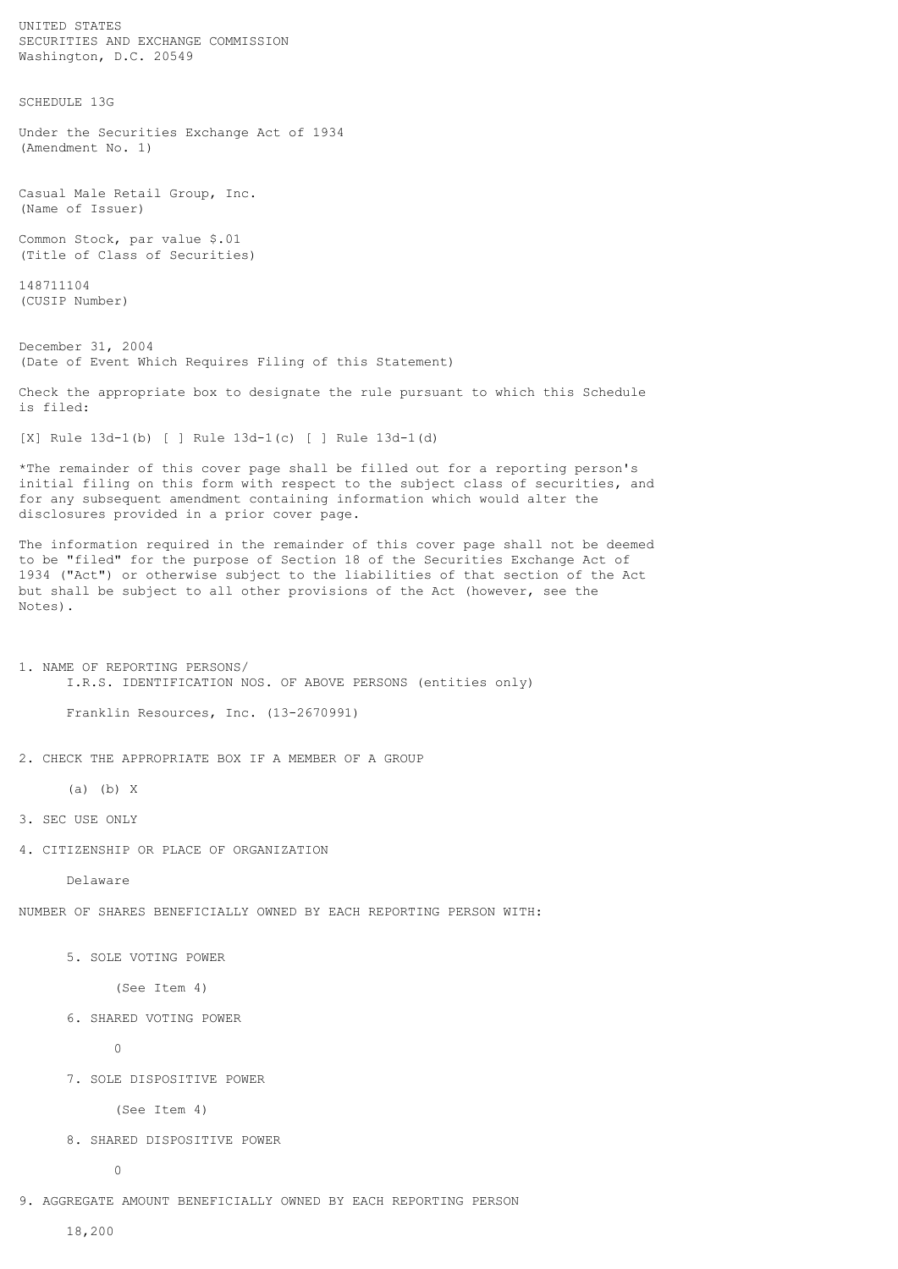SECURITIES AND EXCHANGE COMMISSION Washington, D.C. 20549 SCHEDULE 13G Under the Securities Exchange Act of 1934 (Amendment No. 1) Casual Male Retail Group, Inc. (Name of Issuer) Common Stock, par value \$.01 (Title of Class of Securities) 148711104 (CUSIP Number) December 31, 2004 (Date of Event Which Requires Filing of this Statement) Check the appropriate box to designate the rule pursuant to which this Schedule is filed: [X] Rule 13d-1(b) [ ] Rule 13d-1(c) [ ] Rule 13d-1(d) \*The remainder of this cover page shall be filled out for a reporting person's initial filing on this form with respect to the subject class of securities, and for any subsequent amendment containing information which would alter the disclosures provided in a prior cover page. The information required in the remainder of this cover page shall not be deemed to be "filed" for the purpose of Section 18 of the Securities Exchange Act of 1934 ("Act") or otherwise subject to the liabilities of that section of the Act but shall be subject to all other provisions of the Act (however, see the Notes). 1. NAME OF REPORTING PERSONS/ I.R.S. IDENTIFICATION NOS. OF ABOVE PERSONS (entities only) Franklin Resources, Inc. (13-2670991) 2. CHECK THE APPROPRIATE BOX IF A MEMBER OF A GROUP (a) (b) X 3. SEC USE ONLY 4. CITIZENSHIP OR PLACE OF ORGANIZATION Delaware NUMBER OF SHARES BENEFICIALLY OWNED BY EACH REPORTING PERSON WITH: 5. SOLE VOTING POWER (See Item 4) 6. SHARED VOTING POWER 0 7. SOLE DISPOSITIVE POWER (See Item 4) 8. SHARED DISPOSITIVE POWER

0

9. AGGREGATE AMOUNT BENEFICIALLY OWNED BY EACH REPORTING PERSON

18,200

UNITED STATES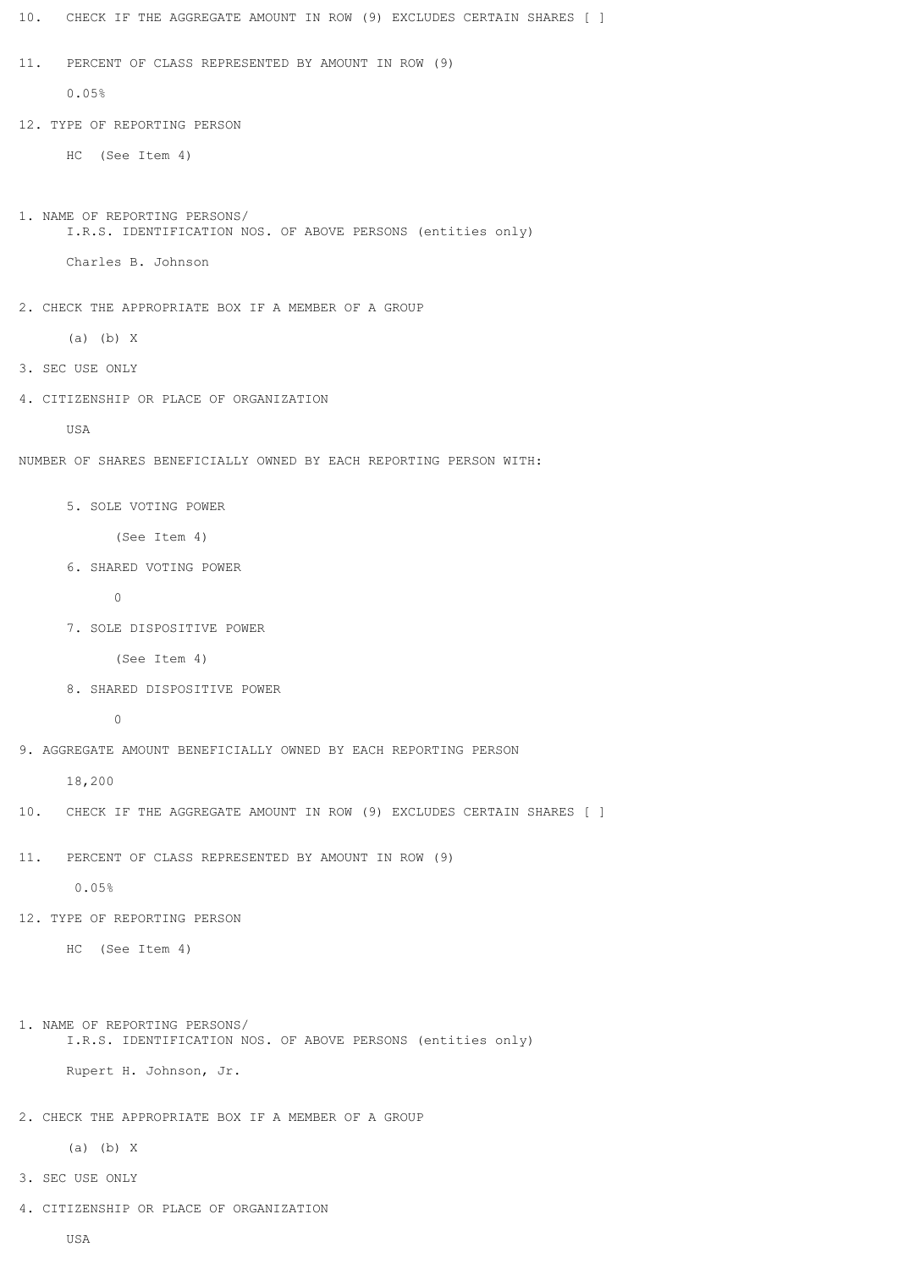| 10.<br>CHECK IF THE AGGREGATE AMOUNT IN ROW (9) EXCLUDES CERTAIN SHARES [ ]                  |
|----------------------------------------------------------------------------------------------|
| 11.<br>PERCENT OF CLASS REPRESENTED BY AMOUNT IN ROW (9)                                     |
| 0.05%                                                                                        |
| 12. TYPE OF REPORTING PERSON                                                                 |
| (See Item 4)<br>HC.                                                                          |
|                                                                                              |
| 1. NAME OF REPORTING PERSONS/<br>I.R.S. IDENTIFICATION NOS. OF ABOVE PERSONS (entities only) |
| Charles B. Johnson                                                                           |
|                                                                                              |
| 2. CHECK THE APPROPRIATE BOX IF A MEMBER OF A GROUP                                          |
| $(a)$ $(b)$ X                                                                                |
| 3. SEC USE ONLY                                                                              |
| 4. CITIZENSHIP OR PLACE OF ORGANIZATION                                                      |
| USA                                                                                          |
| NUMBER OF SHARES BENEFICIALLY OWNED BY EACH REPORTING PERSON WITH:                           |
| 5. SOLE VOTING POWER                                                                         |
| (See Item 4)                                                                                 |
| 6. SHARED VOTING POWER                                                                       |
| 0                                                                                            |
| 7. SOLE DISPOSITIVE POWER                                                                    |
| (See Item 4)                                                                                 |
| 8. SHARED DISPOSITIVE POWER                                                                  |
| 0                                                                                            |
| 9. AGGREGATE AMOUNT BENEFICIALLY OWNED BY EACH REPORTING PERSON                              |
| 18,200                                                                                       |
| 10. CHECK IF THE AGGREGATE AMOUNT IN ROW (9) EXCLUDES CERTAIN SHARES [ ]                     |
| 11.<br>PERCENT OF CLASS REPRESENTED BY AMOUNT IN ROW (9)                                     |
| 0.05%                                                                                        |
| 12. TYPE OF REPORTING PERSON                                                                 |
| HC (See Item 4)                                                                              |
|                                                                                              |
| 1. NAME OF REPORTING PERSONS/                                                                |
| I.R.S. IDENTIFICATION NOS. OF ABOVE PERSONS (entities only)                                  |
| Rupert H. Johnson, Jr.                                                                       |
| 2. CHECK THE APPROPRIATE BOX IF A MEMBER OF A GROUP                                          |
| $(a)$ $(b)$ X                                                                                |
| 3. SEC USE ONLY                                                                              |

- 4. CITIZENSHIP OR PLACE OF ORGANIZATION
	- USA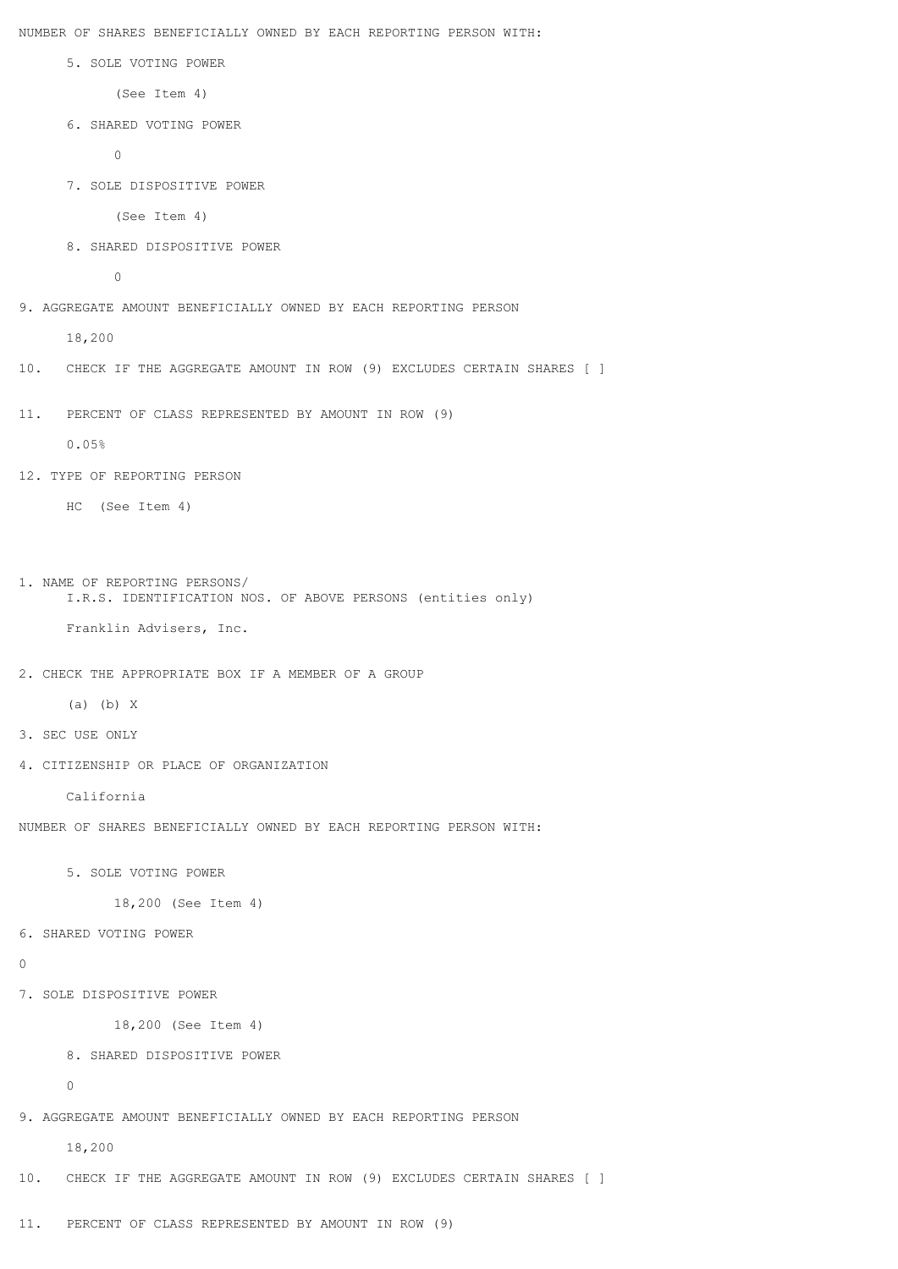NUMBER OF SHARES BENEFICIALLY OWNED BY EACH REPORTING PERSON WITH:

5. SOLE VOTING POWER

(See Item 4)

6. SHARED VOTING POWER

 $\Omega$ 

7. SOLE DISPOSITIVE POWER

(See Item 4)

8. SHARED DISPOSITIVE POWER

0

9. AGGREGATE AMOUNT BENEFICIALLY OWNED BY EACH REPORTING PERSON

18,200

- 10. CHECK IF THE AGGREGATE AMOUNT IN ROW (9) EXCLUDES CERTAIN SHARES [ ]
- 11. PERCENT OF CLASS REPRESENTED BY AMOUNT IN ROW (9)

0.05%

12. TYPE OF REPORTING PERSON

HC (See Item 4)

```
1. NAME OF REPORTING PERSONS/
      I.R.S. IDENTIFICATION NOS. OF ABOVE PERSONS (entities only)
```
Franklin Advisers, Inc.

```
2. CHECK THE APPROPRIATE BOX IF A MEMBER OF A GROUP
```

```
 (a) (b) X
```
- 3. SEC USE ONLY
- 4. CITIZENSHIP OR PLACE OF ORGANIZATION

California

NUMBER OF SHARES BENEFICIALLY OWNED BY EACH REPORTING PERSON WITH:

5. SOLE VOTING POWER

18,200 (See Item 4)

6. SHARED VOTING POWER

```
\cap
```
7. SOLE DISPOSITIVE POWER

18,200 (See Item 4)

8. SHARED DISPOSITIVE POWER

 $\Omega$ 

9. AGGREGATE AMOUNT BENEFICIALLY OWNED BY EACH REPORTING PERSON

18,200

10. CHECK IF THE AGGREGATE AMOUNT IN ROW (9) EXCLUDES CERTAIN SHARES [ ]

11. PERCENT OF CLASS REPRESENTED BY AMOUNT IN ROW (9)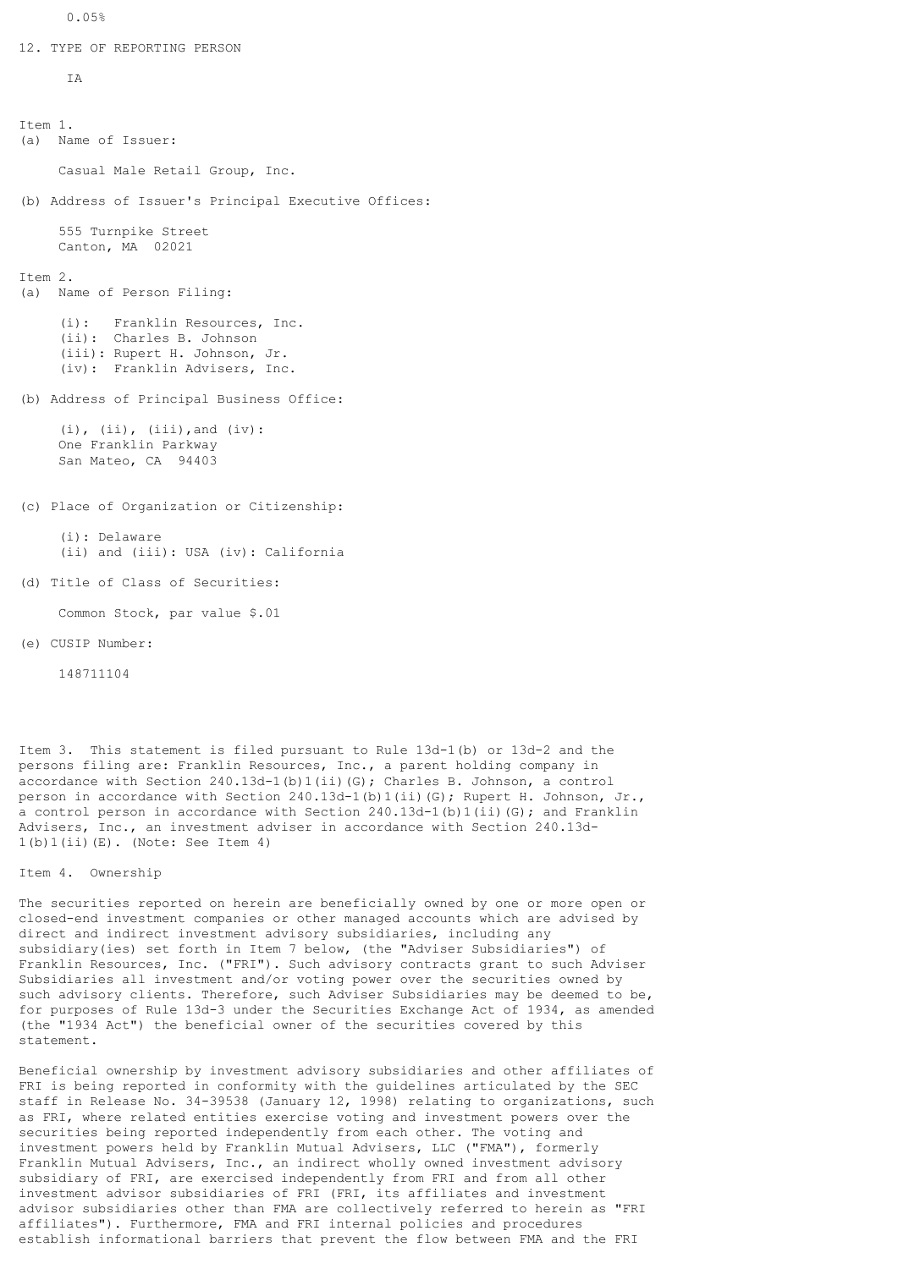12. TYPE OF REPORTING PERSON

T<sub>A</sub>

```
Item 1.
(a) Name of Issuer:
     Casual Male Retail Group, Inc.
(b) Address of Issuer's Principal Executive Offices:
     555 Turnpike Street
     Canton, MA 02021
T+em 2.
(a) Name of Person Filing:
 (i): Franklin Resources, Inc.
 (ii): Charles B. Johnson
      (iii): Rupert H. Johnson, Jr.
      (iv): Franklin Advisers, Inc.
(b) Address of Principal Business Office:
     (i), (ii), (iii), and (iv):
     One Franklin Parkway
     San Mateo, CA 94403
(c) Place of Organization or Citizenship:
      (i): Delaware
      (ii) and (iii): USA (iv): California
(d) Title of Class of Securities:
     Common Stock, par value $.01
(e) CUSIP Number:
```
148711104

Item 3. This statement is filed pursuant to Rule 13d-1(b) or 13d-2 and the persons filing are: Franklin Resources, Inc., a parent holding company in accordance with Section 240.13d-1(b)1(ii)(G); Charles B. Johnson, a control person in accordance with Section 240.13d-1(b)1(ii)(G); Rupert H. Johnson, Jr., a control person in accordance with Section  $240.13d-1(b)1(ii)$  (G); and Franklin Advisers, Inc., an investment adviser in accordance with Section 240.13d-1(b)1(ii)(E). (Note: See Item 4)

Item 4. Ownership

The securities reported on herein are beneficially owned by one or more open or closed-end investment companies or other managed accounts which are advised by direct and indirect investment advisory subsidiaries, including any subsidiary(ies) set forth in Item 7 below, (the "Adviser Subsidiaries") of Franklin Resources, Inc. ("FRI"). Such advisory contracts grant to such Adviser Subsidiaries all investment and/or voting power over the securities owned by such advisory clients. Therefore, such Adviser Subsidiaries may be deemed to be, for purposes of Rule 13d-3 under the Securities Exchange Act of 1934, as amended (the "1934 Act") the beneficial owner of the securities covered by this statement.

Beneficial ownership by investment advisory subsidiaries and other affiliates of FRI is being reported in conformity with the guidelines articulated by the SEC staff in Release No. 34-39538 (January 12, 1998) relating to organizations, such as FRI, where related entities exercise voting and investment powers over the securities being reported independently from each other. The voting and investment powers held by Franklin Mutual Advisers, LLC ("FMA"), formerly Franklin Mutual Advisers, Inc., an indirect wholly owned investment advisory subsidiary of FRI, are exercised independently from FRI and from all other investment advisor subsidiaries of FRI (FRI, its affiliates and investment advisor subsidiaries other than FMA are collectively referred to herein as "FRI affiliates"). Furthermore, FMA and FRI internal policies and procedures establish informational barriers that prevent the flow between FMA and the FRI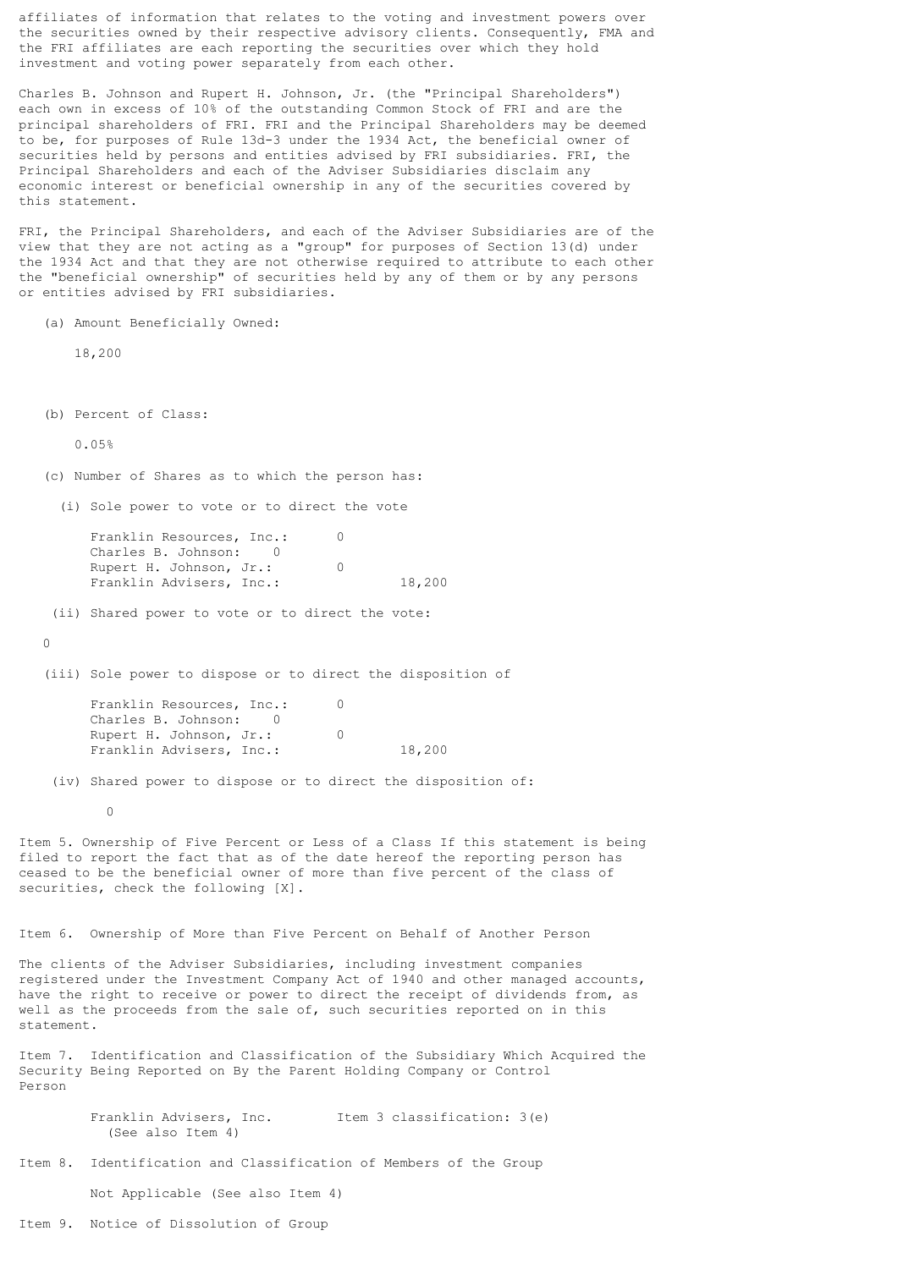affiliates of information that relates to the voting and investment powers over the securities owned by their respective advisory clients. Consequently, FMA and the FRI affiliates are each reporting the securities over which they hold investment and voting power separately from each other.

Charles B. Johnson and Rupert H. Johnson, Jr. (the "Principal Shareholders") each own in excess of 10% of the outstanding Common Stock of FRI and are the principal shareholders of FRI. FRI and the Principal Shareholders may be deemed to be, for purposes of Rule 13d-3 under the 1934 Act, the beneficial owner of securities held by persons and entities advised by FRI subsidiaries. FRI, the Principal Shareholders and each of the Adviser Subsidiaries disclaim any economic interest or beneficial ownership in any of the securities covered by this statement.

FRI, the Principal Shareholders, and each of the Adviser Subsidiaries are of the view that they are not acting as a "group" for purposes of Section 13(d) under the 1934 Act and that they are not otherwise required to attribute to each other the "beneficial ownership" of securities held by any of them or by any persons or entities advised by FRI subsidiaries.

(a) Amount Beneficially Owned:

18,200

(b) Percent of Class:

0.05%

(c) Number of Shares as to which the person has:

(i) Sole power to vote or to direct the vote

Franklin Resources, Inc.: 0 Charles B. Johnson: 0 Rupert H. Johnson, Jr.: 0 Franklin Advisers, Inc.: 18,200

(ii) Shared power to vote or to direct the vote:

 $\Omega$ 

(iii) Sole power to dispose or to direct the disposition of

Franklin Resources, Inc.: 0 Charles B. Johnson: 0 Rupert H. Johnson, Jr.: 0 Franklin Advisers, Inc.: 18,200

(iv) Shared power to dispose or to direct the disposition of:

0

Item 5. Ownership of Five Percent or Less of a Class If this statement is being filed to report the fact that as of the date hereof the reporting person has ceased to be the beneficial owner of more than five percent of the class of securities, check the following [X].

Item 6. Ownership of More than Five Percent on Behalf of Another Person

The clients of the Adviser Subsidiaries, including investment companies registered under the Investment Company Act of 1940 and other managed accounts, have the right to receive or power to direct the receipt of dividends from, as well as the proceeds from the sale of, such securities reported on in this statement.

Item 7. Identification and Classification of the Subsidiary Which Acquired the Security Being Reported on By the Parent Holding Company or Control Person

> Franklin Advisers, Inc. Item 3 classification: 3(e) (See also Item 4)

Item 8. Identification and Classification of Members of the Group

Not Applicable (See also Item 4)

Item 9. Notice of Dissolution of Group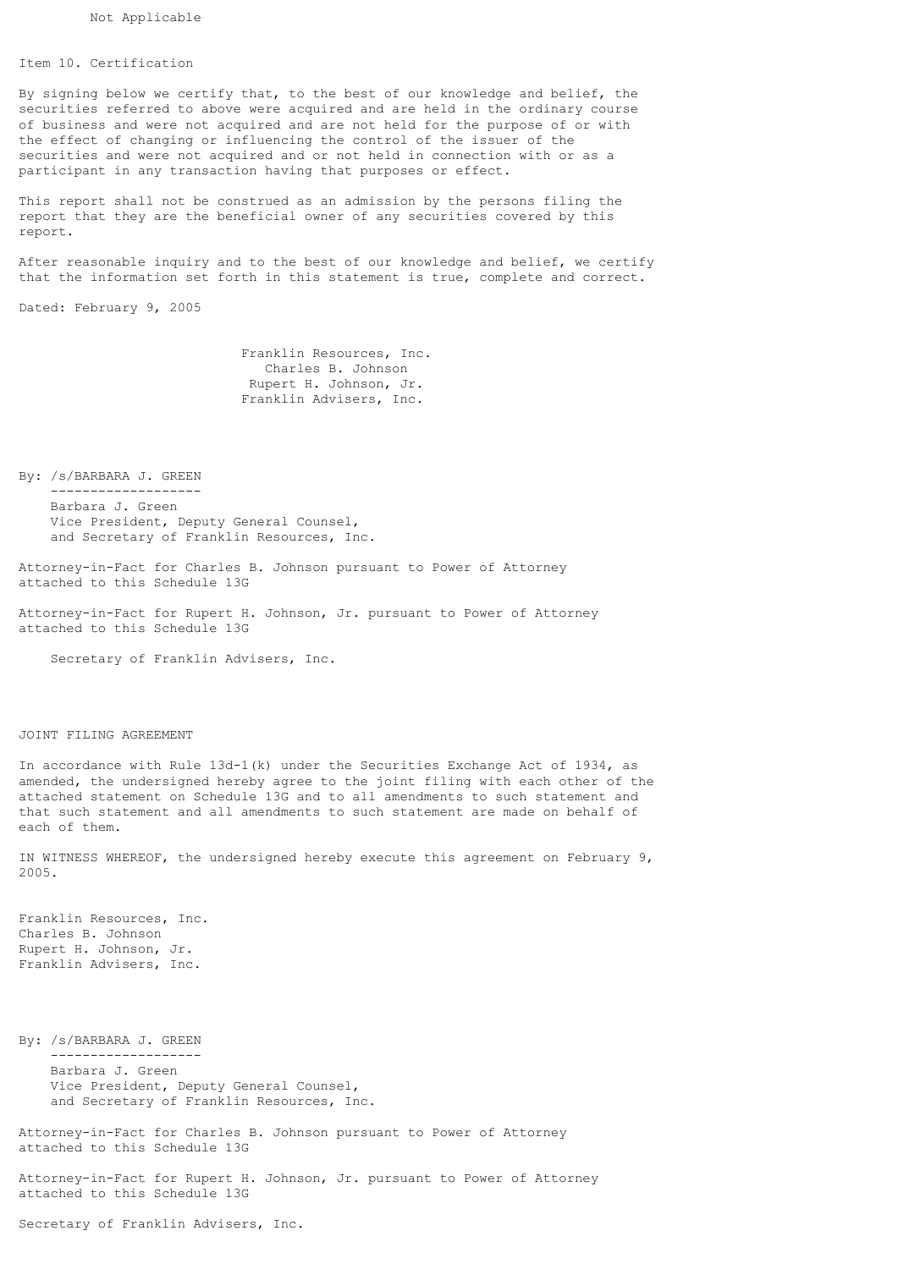## Item 10. Certification

By signing below we certify that, to the best of our knowledge and belief, the securities referred to above were acquired and are held in the ordinary course of business and were not acquired and are not held for the purpose of or with the effect of changing or influencing the control of the issuer of the securities and were not acquired and or not held in connection with or as a participant in any transaction having that purposes or effect.

This report shall not be construed as an admission by the persons filing the report that they are the beneficial owner of any securities covered by this report.

After reasonable inquiry and to the best of our knowledge and belief, we certify that the information set forth in this statement is true, complete and correct.

Dated: February 9, 2005

 Franklin Resources, Inc. Charles B. Johnson Rupert H. Johnson, Jr. Franklin Advisers, Inc.

By: /s/BARBARA J. GREEN

 ------------------- Barbara J. Green Vice President, Deputy General Counsel, and Secretary of Franklin Resources, Inc.

Attorney-in-Fact for Charles B. Johnson pursuant to Power of Attorney attached to this Schedule 13G

Attorney-in-Fact for Rupert H. Johnson, Jr. pursuant to Power of Attorney attached to this Schedule 13G

Secretary of Franklin Advisers, Inc.

## JOINT FILING AGREEMENT

In accordance with Rule 13d-1(k) under the Securities Exchange Act of 1934, as amended, the undersigned hereby agree to the joint filing with each other of the attached statement on Schedule 13G and to all amendments to such statement and that such statement and all amendments to such statement are made on behalf of each of them.

IN WITNESS WHEREOF, the undersigned hereby execute this agreement on February 9, 2005.

Franklin Resources, Inc. Charles B. Johnson Rupert H. Johnson, Jr. Franklin Advisers, Inc.

By: /s/BARBARA J. GREEN

-------------------

 Barbara J. Green Vice President, Deputy General Counsel, and Secretary of Franklin Resources, Inc.

Attorney-in-Fact for Charles B. Johnson pursuant to Power of Attorney attached to this Schedule 13G

Attorney-in-Fact for Rupert H. Johnson, Jr. pursuant to Power of Attorney attached to this Schedule 13G

Secretary of Franklin Advisers, Inc.